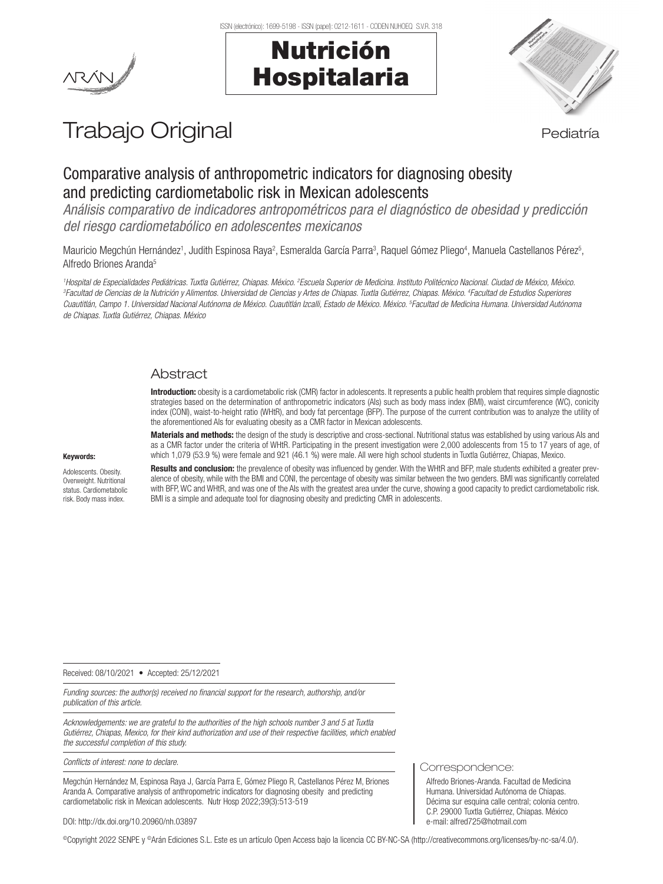## Nutrición Hospitalaria



# Trabajo Original en actividad en la pediatría

## Comparative analysis of anthropometric indicators for diagnosing obesity and predicting cardiometabolic risk in Mexican adolescents

*Análisis comparativo de indicadores antropométricos para el diagnóstico de obesidad y predicción del riesgo cardiometabólico en adolescentes mexicanos*

Mauricio Megchún Hernández<sup>1</sup>, Judith Espinosa Raya<sup>2</sup>, Esmeralda García Parra<sup>3</sup>, Raquel Gómez Pliego<sup>4</sup>, Manuela Castellanos Pérez<sup>5</sup>, Alfredo Briones Aranda<sup>5</sup>

<sup>1</sup>Hospital de Especialidades Pediátricas. Tuxtla Gutiérrez, Chiapas. México. <sup>2</sup>Escuela Superior de Medicina. Instituto Politécnico Nacional. Ciudad de México, México.<br><sup>3</sup>Eacultad de Ciencias de la Nutrición y Alimentos. *Facultad de Ciencias de la Nutrición y Alimentos. Universidad de Ciencias y Artes de Chiapas. Tuxtla Gutiérrez, Chiapas. México. 4 Facultad de Estudios Superiores Cuautitlán, Campo 1. Universidad Nacional Autónoma de México. Cuautitlán Izcalli, Estado de México. México. 5 Facultad de Medicina Humana. Universidad Autónoma de Chiapas. Tuxtla Gutiérrez, Chiapas. México*

## Abstract

Introduction: obesity is a cardiometabolic risk (CMR) factor in adolescents. It represents a public health problem that requires simple diagnostic strategies based on the determination of anthropometric indicators (AIs) such as body mass index (BMI), waist circumference (WC), conicity index (CONI), waist-to-height ratio (WHtR), and body fat percentage (BFP). The purpose of the current contribution was to analyze the utility of the aforementioned AIs for evaluating obesity as a CMR factor in Mexican adolescents.

#### Keywords:

Adolescents. Obesity. Overweight. Nutritional status. Cardiometabolic risk. Body mass index.

Materials and methods: the design of the study is descriptive and cross-sectional. Nutritional status was established by using various AIs and as a CMR factor under the criteria of WHtR. Participating in the present investigation were 2,000 adolescents from 15 to 17 years of age, of which 1,079 (53.9 %) were female and 921 (46.1 %) were male. All were high school students in Tuxtla Gutiérrez, Chiapas, Mexico.

Results and conclusion: the prevalence of obesity was influenced by gender. With the WHtR and BFP, male students exhibited a greater prevalence of obesity, while with the BMI and CONI, the percentage of obesity was similar between the two genders. BMI was significantly correlated with BFP, WC and WHtR, and was one of the AIs with the greatest area under the curve, showing a good capacity to predict cardiometabolic risk. BMI is a simple and adequate tool for diagnosing obesity and predicting CMR in adolescents.

Received: 08/10/2021 • Accepted: 25/12/2021

*Funding sources: the author(s) received no financial support for the research, authorship, and/or publication of this article.*

*Acknowledgements: we are grateful to the authorities of the high schools number 3 and 5 at Tuxtla Gutiérrez, Chiapas, Mexico, for their kind authorization and use of their respective facilities, which enabled the successful completion of this study.*

*Conflicts of interest: none to declare.*

Megchún Hernández M, Espinosa Raya J, García Parra E, Gómez Pliego R, Castellanos Pérez M, Briones Aranda A. Comparative analysis of anthropometric indicators for diagnosing obesity and predicting cardiometabolic risk in Mexican adolescents. Nutr Hosp 2022;39(3):513-519

#### DOI: http://dx.doi.org/10.20960/nh.03897

©Copyright 2022 SENPE y ©Arán Ediciones S.L. Este es un artículo Open Access bajo la licencia CC BY-NC-SA (http://creativecommons.org/licenses/by-nc-sa/4.0/).

Correspondence:

Alfredo Briones-Aranda. Facultad de Medicina Humana. Universidad Autónoma de Chiapas. Décima sur esquina calle central; colonia centro. C.P. 29000 Tuxtla Gutiérrez, Chiapas. México e-mail: alfred725@hotmail.com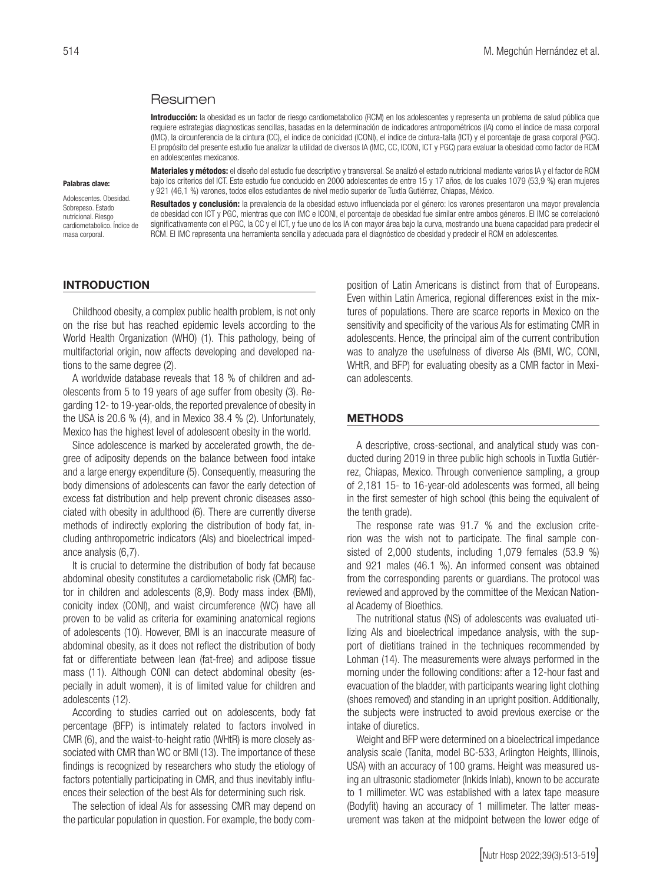## Resumen

Introducción: la obesidad es un factor de riesgo cardiometabolico (RCM) en los adolescentes y representa un problema de salud pública que requiere estrategias diagnosticas sencillas, basadas en la determinación de indicadores antropométricos (IA) como el índice de masa corporal (IMC), la circunferencia de la cintura (CC), el índice de conicidad (ICONI), el índice de cintura-talla (ICT) y el porcentaje de grasa corporal (PGC). El propósito del presente estudio fue analizar la utilidad de diversos IA (IMC, CC, ICONI, ICT y PGC) para evaluar la obesidad como factor de RCM en adolescentes mexicanos.

#### Palabras clave:

Adolescentes. Obesidad. Sobreneso. Estado nutricional. Riesgo cardiometabolico. Índice de masa corporal.

Materiales y métodos: el diseño del estudio fue descriptivo y transversal. Se analizó el estado nutricional mediante varios IA y el factor de RCM bajo los criterios del ICT. Este estudio fue conducido en 2000 adolescentes de entre 15 y 17 años, de los cuales 1079 (53,9 %) eran mujeres y 921 (46,1 %) varones, todos ellos estudiantes de nivel medio superior de Tuxtla Gutiérrez, Chiapas, México.

Resultados y conclusión: la prevalencia de la obesidad estuvo influenciada por el género: los varones presentaron una mayor prevalencia de obesidad con ICT y PGC, mientras que con IMC e ICONI, el porcentaje de obesidad fue similar entre ambos géneros. El IMC se correlacionó significativamente con el PGC, la CC y el ICT, y fue uno de los IA con mayor área bajo la curva, mostrando una buena capacidad para predecir el RCM. El IMC representa una herramienta sencilla y adecuada para el diagnóstico de obesidad y predecir el RCM en adolescentes.

### INTRODUCTION

Childhood obesity, a complex public health problem, is not only on the rise but has reached epidemic levels according to the World Health Organization (WHO) (1). This pathology, being of multifactorial origin, now affects developing and developed nations to the same degree (2).

A worldwide database reveals that 18 % of children and adolescents from 5 to 19 years of age suffer from obesity (3). Regarding 12- to 19-year-olds, the reported prevalence of obesity in the USA is 20.6 % (4), and in Mexico 38.4 % (2). Unfortunately, Mexico has the highest level of adolescent obesity in the world.

Since adolescence is marked by accelerated growth, the degree of adiposity depends on the balance between food intake and a large energy expenditure (5). Consequently, measuring the body dimensions of adolescents can favor the early detection of excess fat distribution and help prevent chronic diseases associated with obesity in adulthood (6). There are currently diverse methods of indirectly exploring the distribution of body fat, including anthropometric indicators (AIs) and bioelectrical impedance analysis (6,7).

It is crucial to determine the distribution of body fat because abdominal obesity constitutes a cardiometabolic risk (CMR) factor in children and adolescents (8,9). Body mass index (BMI), conicity index (CONI), and waist circumference (WC) have all proven to be valid as criteria for examining anatomical regions of adolescents (10). However, BMI is an inaccurate measure of abdominal obesity, as it does not reflect the distribution of body fat or differentiate between lean (fat-free) and adipose tissue mass (11). Although CONI can detect abdominal obesity (especially in adult women), it is of limited value for children and adolescents (12).

According to studies carried out on adolescents, body fat percentage (BFP) is intimately related to factors involved in CMR (6), and the waist-to-height ratio (WHtR) is more closely associated with CMR than WC or BMI (13). The importance of these findings is recognized by researchers who study the etiology of factors potentially participating in CMR, and thus inevitably influences their selection of the best AIs for determining such risk.

The selection of ideal AIs for assessing CMR may depend on the particular population in question. For example, the body composition of Latin Americans is distinct from that of Europeans. Even within Latin America, regional differences exist in the mixtures of populations. There are scarce reports in Mexico on the sensitivity and specificity of the various AIs for estimating CMR in adolescents. Hence, the principal aim of the current contribution was to analyze the usefulness of diverse AIs (BMI, WC, CONI, WHtR, and BFP) for evaluating obesity as a CMR factor in Mexican adolescents.

## **METHODS**

A descriptive, cross-sectional, and analytical study was conducted during 2019 in three public high schools in Tuxtla Gutiérrez, Chiapas, Mexico. Through convenience sampling, a group of 2,181 15- to 16-year-old adolescents was formed, all being in the first semester of high school (this being the equivalent of the tenth grade).

The response rate was 91.7 % and the exclusion criterion was the wish not to participate. The final sample consisted of 2,000 students, including 1,079 females (53.9 %) and 921 males (46.1 %). An informed consent was obtained from the corresponding parents or guardians. The protocol was reviewed and approved by the committee of the Mexican National Academy of Bioethics.

The nutritional status (NS) of adolescents was evaluated utilizing AIs and bioelectrical impedance analysis, with the support of dietitians trained in the techniques recommended by Lohman (14). The measurements were always performed in the morning under the following conditions: after a 12-hour fast and evacuation of the bladder, with participants wearing light clothing (shoes removed) and standing in an upright position. Additionally, the subjects were instructed to avoid previous exercise or the intake of diuretics.

Weight and BFP were determined on a bioelectrical impedance analysis scale (Tanita, model BC-533, Arlington Heights, Illinois, USA) with an accuracy of 100 grams. Height was measured using an ultrasonic stadiometer (Inkids Inlab), known to be accurate to 1 millimeter. WC was established with a latex tape measure (Bodyfit) having an accuracy of 1 millimeter. The latter measurement was taken at the midpoint between the lower edge of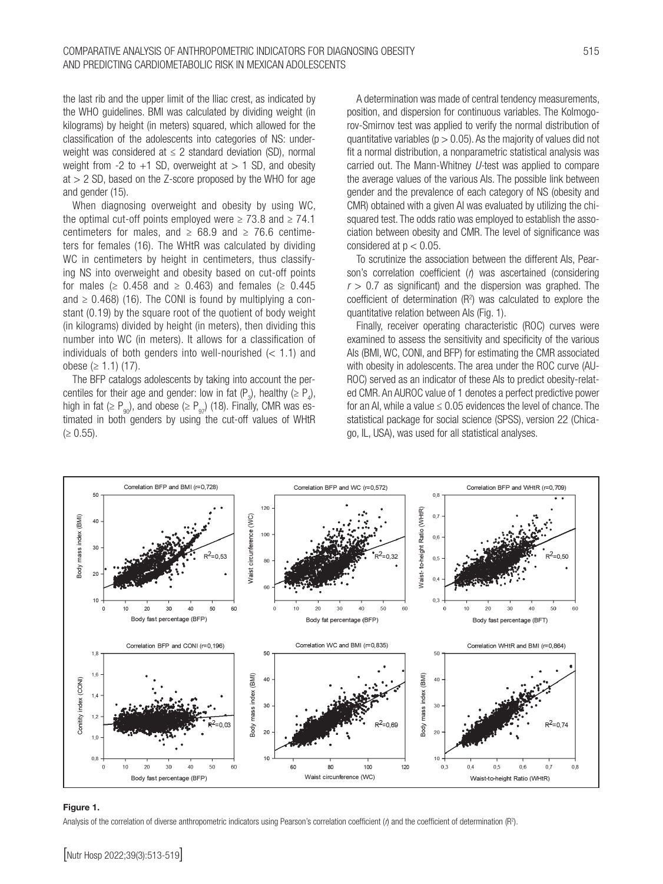the last rib and the upper limit of the Iliac crest, as indicated by the WHO guidelines. BMI was calculated by dividing weight (in kilograms) by height (in meters) squared, which allowed for the classification of the adolescents into categories of NS: underweight was considered at  $\leq 2$  standard deviation (SD), normal weight from  $-2$  to  $+1$  SD, overweight at  $> 1$  SD, and obesity  $at > 2$  SD, based on the Z-score proposed by the WHO for age and gender (15).

When diagnosing overweight and obesity by using WC, the optimal cut-off points employed were  $\geq 73.8$  and  $\geq 74.1$ centimeters for males, and  $\geq$  68.9 and  $\geq$  76.6 centimeters for females (16). The WHtR was calculated by dividing WC in centimeters by height in centimeters, thus classifying NS into overweight and obesity based on cut-off points for males ( $\geq$  0.458 and  $\geq$  0.463) and females ( $\geq$  0.445 and  $\geq$  0.468) (16). The CONI is found by multiplying a constant (0.19) by the square root of the quotient of body weight (in kilograms) divided by height (in meters), then dividing this number into WC (in meters). It allows for a classification of individuals of both genders into well-nourished  $(< 1.1$ ) and obese (≥ 1.1) (17).

The BFP catalogs adolescents by taking into account the percentiles for their age and gender: low in fat  $(P_3)$ , healthy  $(\geq P_4)$ , high in fat ( $\geq P_{q0}$ ), and obese ( $\geq P_{q7}$ ) (18). Finally, CMR was estimated in both genders by using the cut-off values of WHtR  $(≥ 0.55)$ .

A determination was made of central tendency measurements, position, and dispersion for continuous variables. The Kolmogorov-Smirnov test was applied to verify the normal distribution of quantitative variables ( $p > 0.05$ ). As the majority of values did not fit a normal distribution, a nonparametric statistical analysis was carried out. The Mann-Whitney *U-*test was applied to compare the average values of the various AIs. The possible link between gender and the prevalence of each category of NS (obesity and CMR) obtained with a given AI was evaluated by utilizing the chisquared test. The odds ratio was employed to establish the association between obesity and CMR. The level of significance was considered at  $p < 0.05$ .

To scrutinize the association between the different AIs, Pearson's correlation coefficient (*r*) was ascertained (considering  $r > 0.7$  as significant) and the dispersion was graphed. The coefficient of determination  $(R<sup>2</sup>)$  was calculated to explore the quantitative relation between AIs (Fig. 1).

Finally, receiver operating characteristic (ROC) curves were examined to assess the sensitivity and specificity of the various AIs (BMI, WC, CONI, and BFP) for estimating the CMR associated with obesity in adolescents. The area under the ROC curve (AU-ROC) served as an indicator of these AIs to predict obesity-related CMR. An AUROC value of 1 denotes a perfect predictive power for an AI, while a value  $\leq 0.05$  evidences the level of chance. The statistical package for social science (SPSS), version 22 (Chicago, IL, USA), was used for all statistical analyses.



## Figure 1.

Analysis of the correlation of diverse anthropometric indicators using Pearson's correlation coefficient (*i*) and the coefficient of determination (R<sup>2</sup>).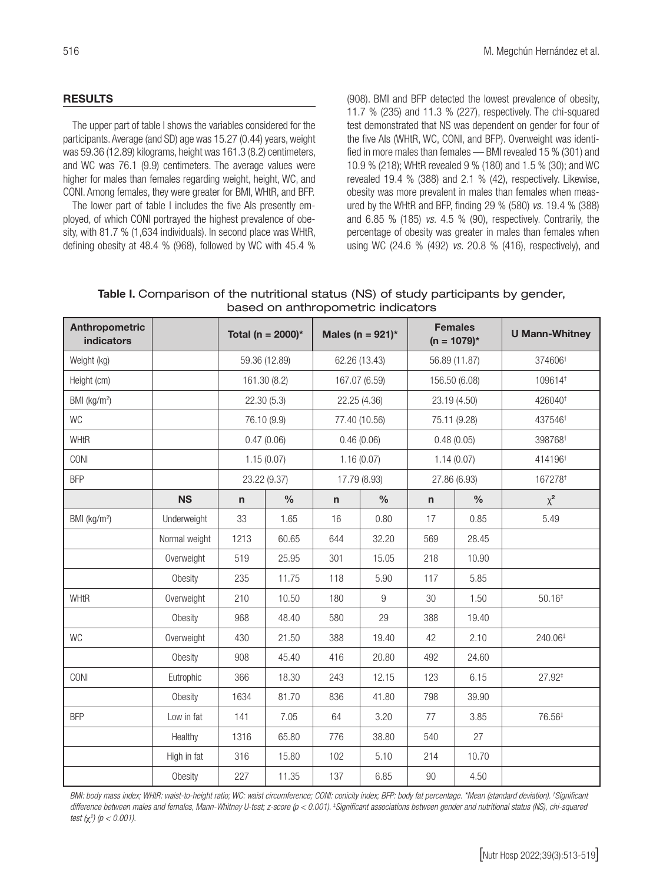## RESULTS

The upper part of table I shows the variables considered for the participants. Average (and SD) age was 15.27 (0.44) years, weight was 59.36 (12.89) kilograms, height was 161.3 (8.2) centimeters, and WC was 76.1 (9.9) centimeters. The average values were higher for males than females regarding weight, height, WC, and CONI. Among females, they were greater for BMI, WHtR, and BFP.

The lower part of table I includes the five AIs presently employed, of which CONI portrayed the highest prevalence of obesity, with 81.7 % (1,634 individuals). In second place was WHtR, defining obesity at 48.4 % (968), followed by WC with 45.4 % (908). BMI and BFP detected the lowest prevalence of obesity, 11.7 % (235) and 11.3 % (227), respectively. The chi-squared test demonstrated that NS was dependent on gender for four of the five AIs (WHtR, WC, CONI, and BFP). Overweight was identified in more males than females — BMI revealed 15 % (301) and 10.9 % (218); WHtR revealed 9 % (180) and 1.5 % (30); and WC revealed 19.4 % (388) and 2.1 % (42), respectively. Likewise, obesity was more prevalent in males than females when measured by the WHtR and BFP, finding 29 % (580) *vs.* 19.4 % (388) and 6.85 % (185) *vs.* 4.5 % (90), respectively. Contrarily, the percentage of obesity was greater in males than females when using WC (24.6 % (492) *vs.* 20.8 % (416), respectively), and

Table I. Comparison of the nutritional status (NS) of study participants by gender, based on anthropometric indicators

| <b>Anthropometric</b><br><b>indicators</b> |               | Total (n = 2000)* |               | Males (n = $921$ )* |                | <b>Females</b><br>$(n = 1079)^*$ |               | <b>U Mann-Whitney</b> |  |
|--------------------------------------------|---------------|-------------------|---------------|---------------------|----------------|----------------------------------|---------------|-----------------------|--|
| Weight (kg)                                |               | 59.36 (12.89)     |               | 62.26 (13.43)       |                | 56.89 (11.87)                    |               | 374606 <sup>+</sup>   |  |
| Height (cm)                                |               | 161.30 (8.2)      |               | 167.07 (6.59)       |                | 156.50 (6.08)                    |               | 109614t               |  |
| BMI (kg/m <sup>2</sup> )                   |               | 22.30(5.3)        |               | 22.25 (4.36)        |                | 23.19 (4.50)                     |               | 426040 <sup>+</sup>   |  |
| <b>WC</b>                                  |               | 76.10 (9.9)       |               | 77.40 (10.56)       |                | 75.11 (9.28)                     |               | 437546 <sup>+</sup>   |  |
| <b>WHtR</b>                                |               | 0.47(0.06)        |               | 0.46(0.06)          |                | 0.48(0.05)                       |               | 398768 <sup>+</sup>   |  |
| CONI                                       |               | 1.15(0.07)        |               | 1.16(0.07)          |                | 1.14(0.07)                       |               | 414196 <sup>+</sup>   |  |
| <b>BFP</b>                                 |               | 23.22 (9.37)      |               | 17.79 (8.93)        |                | 27.86 (6.93)                     |               | 167278 <sup>t</sup>   |  |
|                                            | <b>NS</b>     | n                 | $\frac{0}{0}$ | n.                  | $\frac{0}{0}$  | n                                | $\frac{0}{0}$ | $\chi^2$              |  |
| BMI (kg/m <sup>2</sup> )                   | Underweight   | 33                | 1.65          | 16                  | 0.80           | 17                               | 0.85          | 5.49                  |  |
|                                            | Normal weight | 1213              | 60.65         | 644                 | 32.20          | 569                              | 28.45         |                       |  |
|                                            | Overweight    | 519               | 25.95         | 301                 | 15.05          | 218                              | 10.90         |                       |  |
|                                            | Obesity       | 235               | 11.75         | 118                 | 5.90           | 117                              | 5.85          |                       |  |
| <b>WHtR</b>                                | Overweight    | 210               | 10.50         | 180                 | $\overline{9}$ | 30                               | 1.50          | $50.16*$              |  |
|                                            | Obesity       | 968               | 48.40         | 580                 | 29             | 388                              | 19.40         |                       |  |
| <b>WC</b>                                  | Overweight    | 430               | 21.50         | 388                 | 19.40          | 42                               | 2.10          | 240.06 <sup>‡</sup>   |  |
|                                            | Obesity       | 908               | 45.40         | 416                 | 20.80          | 492                              | 24.60         |                       |  |
| CONI                                       | Eutrophic     | 366               | 18.30         | 243                 | 12.15          | 123                              | 6.15          | $27.92^{\ddagger}$    |  |
|                                            | Obesity       | 1634              | 81.70         | 836                 | 41.80          | 798                              | 39.90         |                       |  |
| <b>BFP</b>                                 | Low in fat    | 141               | 7.05          | 64                  | 3.20           | 77                               | 3.85          | 76.56 <sup>‡</sup>    |  |
|                                            | Healthy       | 1316              | 65.80         | 776                 | 38.80          | 540                              | 27            |                       |  |
|                                            | High in fat   | 316               | 15.80         | 102                 | 5.10           | 214                              | 10.70         |                       |  |
|                                            | Obesity       | 227               | 11.35         | 137                 | 6.85           | $90\,$                           | 4.50          |                       |  |

*BMI: body mass index; WHtR: waist-to-height ratio; WC: waist circumference; CONI: conicity index; BFP: body fat percentage. \*Mean (standard deviation). † Significant difference between males and females, Mann-Whitney U-test; z-score (p < 0.001). ‡ Significant associations between gender and nutritional status (NS), chi-squared test (*χ*<sup>2</sup> ) (p < 0.001).*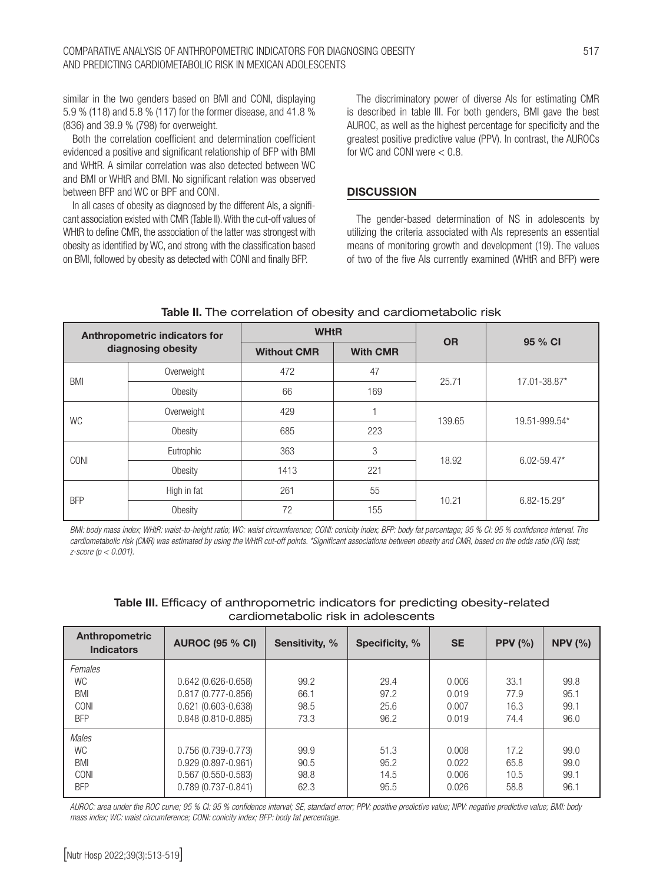similar in the two genders based on BMI and CONI, displaying 5.9 % (118) and 5.8 % (117) for the former disease, and 41.8 % (836) and 39.9 % (798) for overweight.

Both the correlation coefficient and determination coefficient evidenced a positive and significant relationship of BFP with BMI and WHtR. A similar correlation was also detected between WC and BMI or WHtR and BMI. No significant relation was observed between BFP and WC or BPF and CONI.

In all cases of obesity as diagnosed by the different AIs, a significant association existed with CMR (Table II). With the cut-off values of WHtR to define CMR, the association of the latter was strongest with obesity as identified by WC, and strong with the classification based on BMI, followed by obesity as detected with CONI and finally BFP.

The discriminatory power of diverse AIs for estimating CMR is described in table III. For both genders, BMI gave the best AUROC, as well as the highest percentage for specificity and the greatest positive predictive value (PPV). In contrast, the AUROCs for WC and CONI were  $< 0.8$ .

## **DISCUSSION**

The gender-based determination of NS in adolescents by utilizing the criteria associated with AIs represents an essential means of monitoring growth and development (19). The values of two of the five AIs currently examined (WHtR and BFP) were

| Anthropometric indicators for |                    | <b>WHtR</b>        |                 | <b>OR</b> |                 |  |
|-------------------------------|--------------------|--------------------|-----------------|-----------|-----------------|--|
|                               | diagnosing obesity | <b>Without CMR</b> | <b>With CMR</b> |           | 95 % CI         |  |
| BMI                           | Overweight         | 472                | 47              | 25.71     | 17.01-38.87*    |  |
|                               | Obesity            | 66                 | 169             |           |                 |  |
| <b>WC</b>                     | Overweight         | 429                |                 | 139.65    | 19.51-999.54*   |  |
|                               | Obesity            | 685                | 223             |           |                 |  |
| CONI                          | Eutrophic          | 363                | 3               | 18.92     | $6.02 - 59.47*$ |  |
|                               | Obesity            | 1413               | 221             |           |                 |  |
| <b>BFP</b>                    | High in fat        | 261                | 55              |           | $6.82 - 15.29*$ |  |
|                               | Obesity            | 72                 | 155             | 10.21     |                 |  |

Table II. The correlation of obesity and cardiometabolic risk

*BMI: body mass index; WHtR: waist-to-height ratio; WC: waist circumference; CONI: conicity index; BFP: body fat percentage; 95 % CI: 95 % confidence interval. The cardiometabolic risk (CMR) was estimated by using the WHtR cut-off points. \*Significant associations between obesity and CMR, based on the odds ratio (OR) test; z-score (p < 0.001).*

| Table III. Efficacy of anthropometric indicators for predicting obesity-related |
|---------------------------------------------------------------------------------|
| cardiometabolic risk in adolescents                                             |

| Anthropometric<br><b>Indicators</b> | <b>AUROC (95 % CI)</b> | Sensitivity, % | Specificity, % | <b>SE</b> | PPV $(% )$ | NPV $(%)$ |
|-------------------------------------|------------------------|----------------|----------------|-----------|------------|-----------|
| Females<br><b>WC</b>                | $0.642(0.626 - 0.658)$ | 99.2           | 29.4           | 0.006     | 33.1       | 99.8      |
| BMI                                 | $0.817(0.777 - 0.856)$ | 66.1           | 97.2           | 0.019     | 77.9       | 95.1      |
| CONI                                | $0.621(0.603 - 0.638)$ | 98.5           | 25.6           | 0.007     | 16.3       | 99.1      |
| <b>BFP</b><br>Males                 | $0.848(0.810 - 0.885)$ | 73.3           | 96.2           | 0.019     | 74.4       | 96.0      |
| <b>WC</b>                           | $0.756(0.739 - 0.773)$ | 99.9           | 51.3           | 0.008     | 17.2       | 99.0      |
| <b>BMI</b>                          | $0.929(0.897 - 0.961)$ | 90.5           | 95.2           | 0.022     | 65.8       | 99.0      |
| CONI                                | $0.567(0.550-0.583)$   | 98.8           | 14.5           | 0.006     | 10.5       | 99.1      |
| <b>BFP</b>                          | $0.789(0.737 - 0.841)$ | 62.3           | 95.5           | 0.026     | 58.8       | 96.1      |

*AUROC: area under the ROC curve; 95 % CI: 95 % confidence interval; SE, standard error; PPV: positive predictive value; NPV: negative predictive value; BMI: body mass index; WC: waist circumference; CONI: conicity index; BFP: body fat percentage.*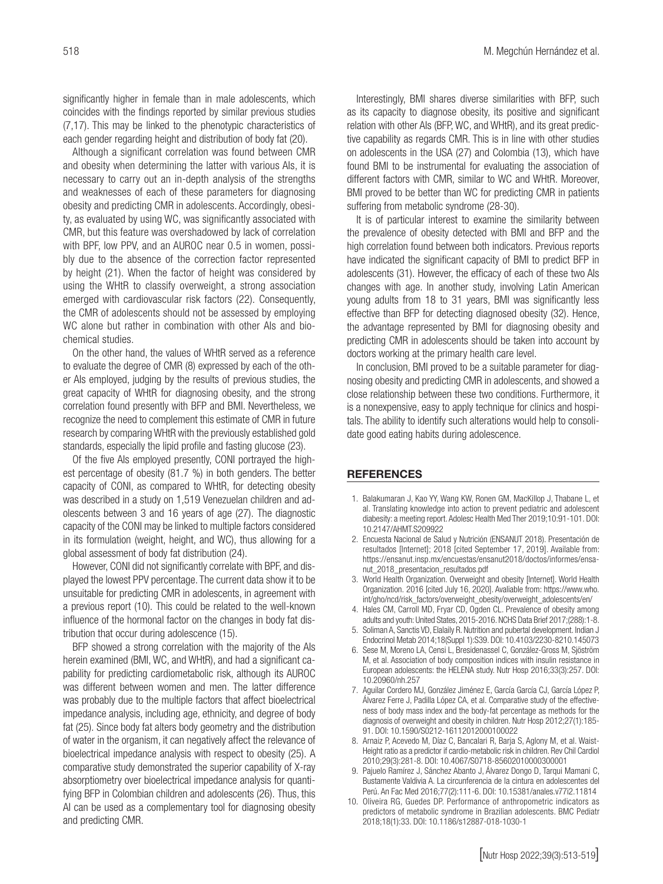significantly higher in female than in male adolescents, which coincides with the findings reported by similar previous studies (7,17). This may be linked to the phenotypic characteristics of each gender regarding height and distribution of body fat (20).

Although a significant correlation was found between CMR and obesity when determining the latter with various AIs, it is necessary to carry out an in-depth analysis of the strengths and weaknesses of each of these parameters for diagnosing obesity and predicting CMR in adolescents. Accordingly, obesity, as evaluated by using WC, was significantly associated with CMR, but this feature was overshadowed by lack of correlation with BPF, low PPV, and an AUROC near 0.5 in women, possibly due to the absence of the correction factor represented by height (21). When the factor of height was considered by using the WHtR to classify overweight, a strong association emerged with cardiovascular risk factors (22). Consequently, the CMR of adolescents should not be assessed by employing WC alone but rather in combination with other AIs and biochemical studies.

On the other hand, the values of WHtR served as a reference to evaluate the degree of CMR (8) expressed by each of the other AIs employed, judging by the results of previous studies, the great capacity of WHtR for diagnosing obesity, and the strong correlation found presently with BFP and BMI. Nevertheless, we recognize the need to complement this estimate of CMR in future research by comparing WHtR with the previously established gold standards, especially the lipid profile and fasting glucose (23).

Of the five AIs employed presently, CONI portrayed the highest percentage of obesity (81.7 %) in both genders. The better capacity of CONI, as compared to WHtR, for detecting obesity was described in a study on 1,519 Venezuelan children and adolescents between 3 and 16 years of age (27). The diagnostic capacity of the CONI may be linked to multiple factors considered in its formulation (weight, height, and WC), thus allowing for a global assessment of body fat distribution (24).

However, CONI did not significantly correlate with BPF, and displayed the lowest PPV percentage. The current data show it to be unsuitable for predicting CMR in adolescents, in agreement with a previous report (10). This could be related to the well-known influence of the hormonal factor on the changes in body fat distribution that occur during adolescence (15).

BFP showed a strong correlation with the majority of the AIs herein examined (BMI, WC, and WHtR), and had a significant capability for predicting cardiometabolic risk, although its AUROC was different between women and men. The latter difference was probably due to the multiple factors that affect bioelectrical impedance analysis, including age, ethnicity, and degree of body fat (25). Since body fat alters body geometry and the distribution of water in the organism, it can negatively affect the relevance of bioelectrical impedance analysis with respect to obesity (25). A comparative study demonstrated the superior capability of X-ray absorptiometry over bioelectrical impedance analysis for quantifying BFP in Colombian children and adolescents (26). Thus, this AI can be used as a complementary tool for diagnosing obesity and predicting CMR.

Interestingly, BMI shares diverse similarities with BFP, such as its capacity to diagnose obesity, its positive and significant relation with other AIs (BFP, WC, and WHtR), and its great predictive capability as regards CMR. This is in line with other studies on adolescents in the USA (27) and Colombia (13), which have found BMI to be instrumental for evaluating the association of different factors with CMR, similar to WC and WHtR. Moreover, BMI proved to be better than WC for predicting CMR in patients suffering from metabolic syndrome (28-30).

It is of particular interest to examine the similarity between the prevalence of obesity detected with BMI and BFP and the high correlation found between both indicators. Previous reports have indicated the significant capacity of BMI to predict BFP in adolescents (31). However, the efficacy of each of these two AIs changes with age. In another study, involving Latin American young adults from 18 to 31 years, BMI was significantly less effective than BFP for detecting diagnosed obesity (32). Hence, the advantage represented by BMI for diagnosing obesity and predicting CMR in adolescents should be taken into account by doctors working at the primary health care level.

In conclusion, BMI proved to be a suitable parameter for diagnosing obesity and predicting CMR in adolescents, and showed a close relationship between these two conditions. Furthermore, it is a nonexpensive, easy to apply technique for clinics and hospitals. The ability to identify such alterations would help to consolidate good eating habits during adolescence.

## **REFERENCES**

- 1. Balakumaran J, Kao YY, Wang KW, Ronen GM, MacKillop J, Thabane L, et al. Translating knowledge into action to prevent pediatric and adolescent diabesity: a meeting report. Adolesc Health Med Ther 2019;10:91-101. DOI: 10.2147/AHMT.S209922
- 2. Encuesta Nacional de Salud y Nutrición (ENSANUT 2018). Presentación de resultados [Internet]; 2018 [cited September 17, 2019]. Available from: https://ensanut.insp.mx/encuestas/ensanut2018/doctos/informes/ensanut\_2018\_presentacion\_resultados.pdf
- 3. World Health Organization. Overweight and obesity [Internet]. World Health Organization. 2016 [cited July 16, 2020]. Avaliable from: https://www.who. int/gho/ncd/risk\_factors/overweight\_obesity/overweight\_adolescents/en/
- 4. Hales CM, Carroll MD, Fryar CD, Ogden CL. Prevalence of obesity among adults and youth: United States, 2015-2016. NCHS Data Brief 2017;(288):1-8.
- 5. Soliman A, Sanctis VD, Elalaily R. Nutrition and pubertal development. Indian J Endocrinol Metab 2014;18(Suppl 1):S39. DOI: 10.4103/2230-8210.145073
- 6. Sese M, Moreno LA, Censi L, Bresidenassel C, González-Gross M, Sjöström M, et al. Association of body composition indices with insulin resistance in European adolescents: the HELENA study. Nutr Hosp 2016;33(3):257. DOI: 10.20960/nh.257
- 7. Aguilar Cordero MJ, González Jiménez E, García García CJ, García López P, Álvarez Ferre J, Padilla López CA, et al. Comparative study of the effectiveness of body mass index and the body-fat percentage as methods for the diagnosis of overweight and obesity in children. Nutr Hosp 2012;27(1):185- 91. DOI: 10.1590/S0212-16112012000100022
- 8. Arnaiz P, Acevedo M, Díaz C, Bancalari R, Barja S, Aglony M, et al. Waist-Height ratio as a predictor if cardio-metabolic risk in children. Rev Chil Cardiol 2010;29(3):281-8. DOI: 10.4067/S0718-85602010000300001
- 9. Pajuelo Ramírez J, Sánchez Abanto J, Álvarez Dongo D, Tarqui Mamani C, Bustamente Valdivia A. La circunferencia de la cintura en adolescentes del Perú. An Fac Med 2016;77(2):111-6. DOI: 10.15381/anales.v77i2.11814
- 10. Oliveira RG, Guedes DP. Performance of anthropometric indicators as predictors of metabolic syndrome in Brazilian adolescents. BMC Pediatr 2018;18(1):33. DOI: 10.1186/s12887-018-1030-1